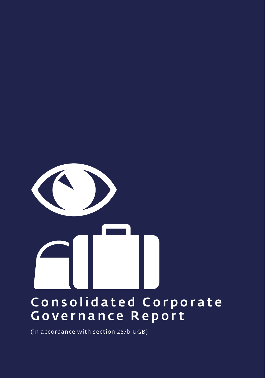# Consolidated Corporate Governance Report

(in accordance with section 267b UGB)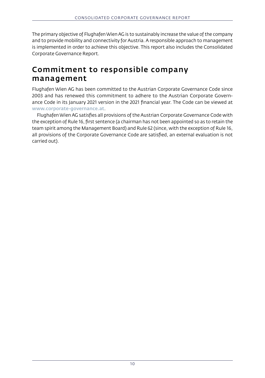The primary objective of Flughafen Wien AG is to sustainably increase the value of the company and to provide mobility and connectivity for Austria. A responsible approach to management is implemented in order to achieve this objective. This report also includes the Consolidated Corporate Governance Report.

#### Commitment to responsible company management

Flughafen Wien AG has been committed to the Austrian Corporate Governance Code since 2003 and has renewed this commitment to adhere to the Austrian Corporate Governance Code in its January 2021 version in the 2021 financial year. The Code can be viewed at [www.corporate-governance.at](http://www.corporate-governance.at).

Flughafen Wien AG satisfies all provisions of the Austrian Corporate Governance Code with the exception of Rule 16, first sentence (a chairman has not been appointed so as to retain the team spirit among the Management Board) and Rule 62 (since, with the exception of Rule 16, all provisions of the Corporate Governance Code are satisfied, an external evaluation is not carried out).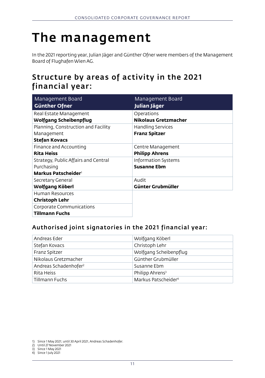# The management

In the 2021 reporting year, Julian Jäger and Günther Ofner were members of the Management Board of Flughafen Wien AG.

### Structure by areas of activity in the 2021 financial year:

| Management Board                                                                      | Management Board                                 |
|---------------------------------------------------------------------------------------|--------------------------------------------------|
| <b>Günther Ofner</b>                                                                  | Julian Jäger                                     |
| Real Estate Management                                                                | Operations                                       |
| Wolfgang Scheibenpflug                                                                | <b>Nikolaus Gretzmacher</b>                      |
| Planning, Construction and Facility<br>Management<br><b>Stefan Kovacs</b>             | <b>Handling Services</b><br><b>Franz Spitzer</b> |
| Finance and Accounting                                                                | Centre Management                                |
| <b>Rita Heiss</b>                                                                     | <b>Philipp Ahrens</b>                            |
| Strategy, Public Affairs and Central<br>Purchasing<br>Markus Patscheider <sup>1</sup> | <b>Information Systems</b><br><b>Susanne Ebm</b> |
| Secretary General                                                                     | Audit                                            |
| Wolfgang Köberl                                                                       | Günter Grubmüller                                |
| Human Resources<br>Christoph Lehr                                                     |                                                  |
| Corporate Communications<br><b>Tillmann Fuchs</b>                                     |                                                  |

#### Authorised joint signatories in the 2021 financial year:

| Andreas Eder                      | Wolfgang Köberl                 |
|-----------------------------------|---------------------------------|
| Stefan Kovacs                     | Christoph Lehr                  |
| Franz Spitzer                     | Wolfgang Scheibenpflug          |
| Nikolaus Gretzmacher              | Günther Grubmüller              |
| Andreas Schadenhofer <sup>2</sup> | Susanne Ebm                     |
| Rita Heiss                        | Philipp Ahrens <sup>3</sup>     |
| Tillmann Fuchs                    | Markus Patscheider <sup>4</sup> |

1) Since 1 May 2021; until 30 April 2021, Andreas Schadenhofer.

2) Until 27 November 2021 3) Since 1 May 2021

4) Since 1 July 2021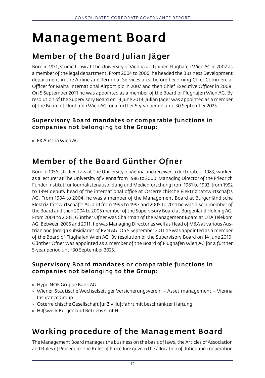# Management Board

## Member of the Board Julian Jäger

Born in 1971, studied Law at The University of Vienna and joined Flughafen Wien AG in 2002 as a member of the legal department. From 2004 to 2006, he headed the Business Development department in the Airline and Terminal Services area before becoming Chief Commercial Officer for Malta International Airport plc in 2007 and then Chief Executive Officer in 2008. On 5 September 2011 he was appointed as a member of the Board of Flughafen Wien AG. By resolution of the Supervisory Board on 14 June 2019, Julian Jäger was appointed as a member of the Board of Flughafen Wien AG for a further 5-year period until 30 September 2025.

#### Supervisory Board mandates or comparable functions in companies not belonging to the Group:

» FK Austria Wien AG

## Member of the Board Günther Ofner

Born in 1956, studied Law at The University of Vienna and received a doctorate in 1983, worked as a lecturer at The University of Vienna from 1986 to 2000. Managing Director of the Friedrich Funder Institut für Journalistenausbildung und Medienforschung from 1981 to 1992, from 1992 to 1994 deputy head of the international office at Österreichische Elektrizitätswirtschafts AG. From 1994 to 2004, he was a member of the Management Board at Burgenländische Elektrizitätswirtschafts AG and from 1995 to 1997 and 2005 to 2011 he was also a member of the Board and then 2004 to 2005 member of the Supervisory Board at Burgenland Holding AG. From 2004 to 2005, Günther Ofner was Chairman of the Management Board at UTATelekom AG. Between 2005 and 2011, he was Managing Director as well as Head of M&A at various Austrian and foreign subsidiaries of EVN AG. On 5 September 2011 he was appointed as a member of the Board of Flughafen Wien AG. By resolution of the Supervisory Board on 14 June 2019, Günther Ofner was appointed as a member of the Board of Flughafen Wien AG for a further 5-year period until 30 September 2025.

#### Supervisory Board mandates or comparable functions in companies not belonging to the Group:

- » Hypo NOE Gruppe Bank AG
- » Wiener Städtische Wechselseitiger Versicherungsverein Asset management Vienna Insurance Group
- » Österreichische Gesellschaft für Zivilluftfahrt mit beschränkter Haftung
- » Hilfswerk Burgenland Betriebs GmbH

### Working procedure of the Management Board

The Management Board manages the business on the basis of laws, the Articles of Association and Rules of Procedure. The Rules of Procedure govern the allocation of duties and cooperation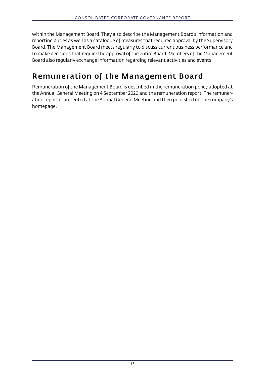within the Management Board. They also describe the Management Board's information and reporting duties as well as a catalogue of measures that required approval by the Supervisory Board. The Management Board meets regularly to discuss current business performance and to make decisions that require the approval of the entire Board. Members of the Management Board also regularly exchange information regarding relevant activities and events.

## Remuneration of the Management Board

Remuneration of the Management Board is described in the remuneration policy adopted at the Annual General Meeting on 4 September 2020 and the remuneration report. The remuneration report is presented at the Annual General Meeting and then published on the company's homepage.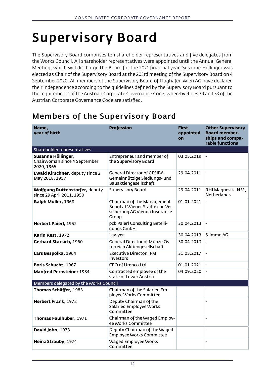# Supervisory Board

The Supervisory Board comprises ten shareholder representatives and five delegates from the Works Council. All shareholder representatives were appointed until the Annual General Meeting, which will discharge the Board for the 2021 financial year. Susanne Höllinger was elected as Chair of the Supervisory Board at the 203rd meeting of the Supervisory Board on 4 September 2020. All members of the Supervisory Board of Flughafen Wien AG have declared their independence according to the guidelines defined by the Supervisory Board pursuant to the requirements of the Austrian Corporate Governance Code, whereby Rules 39 and 53 of the Austrian Corporate Governance Code are satisfied.

## Members of the Supervisory Board

| Name,<br>year of birth                                           | <b>Profession</b>                                                                                       | <b>First</b><br>appointed<br>on | <b>Other Supervisory</b><br><b>Board member-</b><br>ships and compa-<br>rable functions |
|------------------------------------------------------------------|---------------------------------------------------------------------------------------------------------|---------------------------------|-----------------------------------------------------------------------------------------|
| Shareholder representatives                                      |                                                                                                         |                                 |                                                                                         |
| Susanne Höllinger,<br>Chairwoman since 4 September<br>2020, 1965 | Entrepreneur and member of<br>the Supervisory Board                                                     | 03.05.2019                      | $\blacksquare$                                                                          |
| <b>Ewald Kirschner, deputy since 2</b><br>May 2018, 1957         | <b>General Director of GESIBA</b><br>Gemeinnützige Siedlungs- und<br>Bauaktiengesellschaft              | 29.04.2011                      | $\blacksquare$                                                                          |
| Wolfgang Ruttenstorfer, deputy<br>since 29 April 2011, 1950      | <b>Supervisory Board</b>                                                                                | 29.04.2011                      | RHI Magnesita N.V.,<br><b>Netherlands</b>                                               |
| Ralph Müller, 1968                                               | Chairman of the Management<br>Board at Wiener Städtische Ver-<br>sicherung AG Vienna Insurance<br>Group | 01.01.2021                      | $\blacksquare$                                                                          |
| Herbert Paierl, 1952                                             | pcb Paierl Consulting Beteili-<br>qungs GmbH                                                            | 30.04.2013                      | $\overline{\phantom{a}}$                                                                |
| Karin Rest, 1972                                                 | Lawyer                                                                                                  | 30.04.2013                      | S-Immo AG                                                                               |
| Gerhard Starsich, 1960                                           | General Director of Münze Ös-<br>terreich Aktiengesellschaft                                            | 30.04.2013                      | $\overline{a}$                                                                          |
| Lars Bespolka, 1964                                              | <b>Executive Director, IFM</b><br>Investors                                                             | 31.05.2017                      | $\overline{\phantom{a}}$                                                                |
| Boris Schucht, 1967                                              | CEO of Urenco Ltd                                                                                       | 01.01.2021                      | $\overline{\phantom{a}}$                                                                |
| <b>Manfred Pernsteiner 1984</b>                                  | Contracted employee of the<br>state of Lower Austria                                                    | 04.09.2020                      | $\blacksquare$                                                                          |
| Members delegated by the Works Council                           |                                                                                                         |                                 |                                                                                         |
| Thomas Schäffer, 1983                                            | Chairman of the Salaried Em-<br>ployee Works Committee                                                  |                                 | $\blacksquare$                                                                          |
| Herbert Frank, 1972                                              | Deputy Chairman of the<br>Salaried Employee Works<br>Committee                                          |                                 | $\overline{\phantom{a}}$                                                                |
| Thomas Faulhuber, 1971                                           | Chairman of the Waged Employ-<br>ee Works Committee                                                     |                                 | $\overline{\phantom{a}}$                                                                |
| David John, 1973                                                 | Deputy Chairman of the Waged<br><b>Employee Works Committee</b>                                         |                                 | L,                                                                                      |
| Heinz Strauby, 1974                                              | Waged Employee Works<br>Committee                                                                       |                                 | $\overline{a}$                                                                          |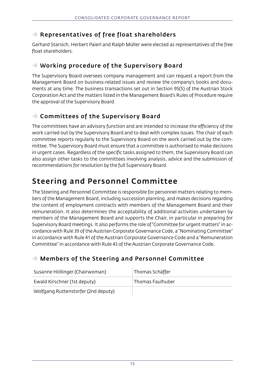#### $\rightarrow$  Representatives of free float shareholders

Gerhard Starsich, Herbert Paierl and Ralph Müller were elected as representatives of the free float shareholders.

#### $\rightarrow$  Working procedure of the Supervisory Board

The Supervisory Board oversees company management and can request a report from the Management Board on business-related issues and review the company's books and documents at any time. The business transactions set out in Section 95(5) of the Austrian Stock Corporation Act and the matters listed in the Management Board's Rules of Procedure require the approval of the Supervisory Board.

#### $\rightarrow$  Committees of the Supervisory Board

The committees have an advisory function and are intended to increase the efficiency of the work carried out by the Supervisory Board and to deal with complex issues. The chair of each committee reports regularly to the Supervisory Board on the work carried out by the committee. The Supervisory Board must ensure that a committee is authorised to make decisions in urgent cases. Regardless of the specific tasks assigned to them, the Supervisory Board can also assign other tasks to the committees involving analysis, advice and the submission of recommendations for resolution by the full Supervisory Board.

### Steering and Personnel Committee

The Steering and Personnel Committee is responsible for personnel matters relating to members of the Management Board, including succession planning, and makes decisions regarding the content of employment contracts with members of the Management Board and their remuneration. It also determines the acceptability of additional activities undertaken by members of the Management Board and supports the Chair, in particular in preparing for Supervisory Board meetings. It also performs the role of "Committee for urgent matters" in accordance with Rule 39 of the Austrian Corporate Governance Code, a "Nominating Committee" in accordance with Rule 41 of the Austrian Corporate Governance Code and a "Remuneration Committee" in accordance with Rule 43 of the Austrian Corporate Governance Code.

#### $\rightarrow$  Members of the Steering and Personnel Committee

| Susanne Höllinger (Chairwoman)      | Thomas Schäffer  |
|-------------------------------------|------------------|
| Ewald Kirschner (1st deputy)        | Thomas Faulhuber |
| Wolfgang Ruttenstorfer (2nd deputy) |                  |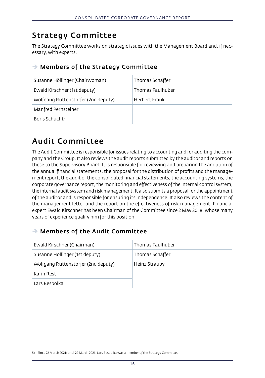### Strategy Committee

The Strategy Committee works on strategic issues with the Management Board and, if necessary, with experts.

#### $\rightarrow$  Members of the Strategy Committee

| Susanne Höllinger (Chairwoman)      | Thomas Schäffer  |
|-------------------------------------|------------------|
| Ewald Kirschner (1st deputy)        | Thomas Faulhuber |
| Wolfgang Ruttenstorfer (2nd deputy) | Herbert Frank    |
| Manfred Pernsteiner                 |                  |
| Boris Schucht <sup>5</sup>          |                  |

#### Audit Committee

The Audit Committee is responsible for issues relating to accounting and for auditing the company and the Group. It also reviews the audit reports submitted by the auditor and reports on these to the Supervisory Board. It is responsible for reviewing and preparing the adoption of the annual financial statements, the proposal for the distribution of profits and the management report, the audit of the consolidated financial statements, the accounting systems, the corporate governance report, the monitoring and effectiveness of the internal control system, the internal audit system and risk management. It also submits a proposal for the appointment of the auditor and is responsible for ensuring its independence. It also reviews the content of the management letter and the report on the effectiveness of risk management. Financial expert Ewald Kirschner has been Chairman of the Committee since 2 May 2018, whose many years of experience qualify him for this position.

#### $\rightarrow$  Members of the Audit Committee

| Ewald Kirschner (Chairman)          | Thomas Faulhuber |
|-------------------------------------|------------------|
| Susanne Hollinger (1st deputy)      | Thomas Schäffer  |
| Wolfgang Ruttenstorfer (2nd deputy) | Heinz Strauby    |
| Karin Rest                          |                  |
| Lars Bespolka                       |                  |

5) Since 22 March 2021; until 22 March 2021, Lars Bespolka was a member of the Strategy Committee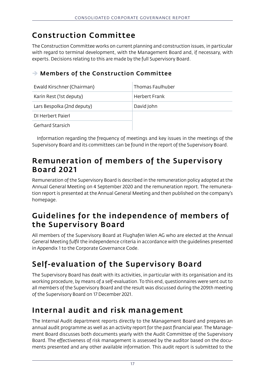## Construction Committee

The Construction Committee works on current planning and construction issues, in particular with regard to terminal development, with the Management Board and, if necessary, with experts. Decisions relating to this are made by the full Supervisory Board.

#### $\rightarrow$  Members of the Construction Committee

| Ewald Kirschner (Chairman) | Thomas Faulhuber |
|----------------------------|------------------|
| Karin Rest (1st deputy)    | Herbert Frank    |
| Lars Bespolka (2nd deputy) | David John       |
| DI Herbert Paierl          |                  |
| <b>Gerhard Starsich</b>    |                  |

Information regarding the frequency of meetings and key issues in the meetings of the Supervisory Board and its committees can be found in the report of the Supervisory Board.

#### Remuneration of members of the Supervisory Board 2021

Remuneration of the Supervisory Board is described in the remuneration policy adopted at the Annual General Meeting on 4 September 2020 and the remuneration report. The remuneration report is presented at the Annual General Meeting and then published on the company's homepage.

## Guidelines for the independence of members of the Supervisory Board

All members of the Supervisory Board at Flughafen Wien AG who are elected at the Annual General Meeting fulfil the independence criteria in accordance with the guidelines presented in Appendix 1 to the Corporate Governance Code.

# Self-evaluation of the Supervisory Board

The Supervisory Board has dealt with its activities, in particular with its organisation and its working procedure, by means of a self-evaluation. To this end, questionnaires were sent out to all members of the Supervisory Board and the result was discussed during the 209th meeting of the Supervisory Board on 17 December 2021.

### Internal audit and risk management

The Internal Audit department reports directly to the Management Board and prepares an annual audit programme as well as an activity report for the past financial year. The Management Board discusses both documents yearly with the Audit Committee of the Supervisory Board. The effectiveness of risk management is assessed by the auditor based on the documents presented and any other available information. This audit report is submitted to the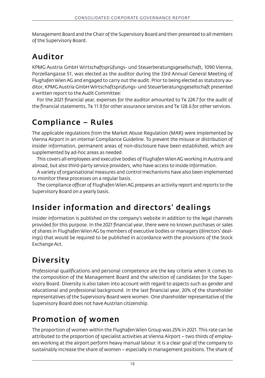Management Board and the Chair of the Supervisory Board and then presented to all members of the Supervisory Board.

## Auditor

KPMG Austria GmbH Wirtschaftsprüfungs- und Steuerberatungsgesellschaft, 1090 Vienna, Porzellangasse 51, was elected as the auditor during the 33rd Annual General Meeting of Flughafen Wien AG and engaged to carry out the audit. Prior to being elected as statutory auditor, KPMG Austria GmbH Wirtschaftsprüfungs- und Steuerberatungsgesellschaft presented a written report to the Audit Committee:

For the 2021 financial year, expenses for the auditor amounted to T $\epsilon$  224.7 for the audit of the financial statements, T€ 11.9 for other assurance services and T€ 128.6 for other services.

## Compliance – Rules

The applicable regulations from the Market Abuse Regulation (MAR) were implemented by Vienna Airport in an internal Compliance Guideline. To prevent the misuse or distribution of insider information, permanent areas of non-disclosure have been established, which are supplemented by ad-hoc areas as needed.

This covers all employees and executive bodies of Flughafen Wien AG working in Austria and abroad, but also third-party service providers, who have access to inside information.

A variety of organisational measures and control mechanisms have also been implemented to monitor these processes on a regular basis.

The compliance officer of Flughafen Wien AG prepares an activity report and reports to the Supervisory Board on a yearly basis.

# Insider information and directors' dealings

Insider information is published on the company's website in addition to the legal channels provided for this purpose. In the 2021 financial year, there were no known purchases or sales of shares in Flughafen Wien AG by members of executive bodies or managers (directors' dealings) that would be required to be published in accordance with the provisions of the Stock Exchange Act.

# Diversity

Professional qualifications and personal competence are the key criteria when it comes to the composition of the Management Board and the selection of candidates for the Supervisory Board. Diversity is also taken into account with regard to aspects such as gender and educational and professional background. In the last financial year, 20% of the shareholder representatives of the Supervisory Board were women. One shareholder representative of the Supervisory Board does not have Austrian citizenship.

# Promotion of women

The proportion of women within the Flughafen Wien Group was 25% in 2021. This rate can be attributed to the proportion of specialist activities at Vienna Airport – two thirds of employees working at the airport perform heavy manual labour. It is a clear goal of the company to sustainably increase the share of women – especially in management positions. The share of